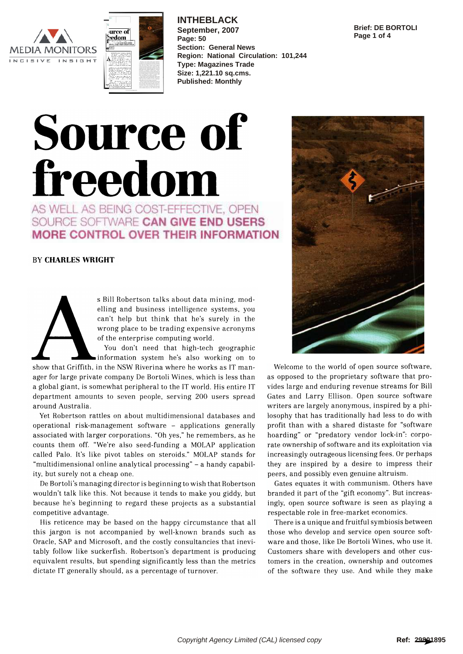



**INTHEBLACK September, 2007 Page: 50 Section: General News Region: National Circulation: 101,244 Type: Magazines Trade Size: 1,221.10 sq.cms. Published: Monthly**

#### **Brief: DE BORTOLI Page 1 of 4**

# Source of freedom

AS WELL AS BEING COST-EFFECTIVE, OPEN SOURCE SOFTWARE CAN GIVE END USERS MORE CONTROL OVER THEIR INFORMATION

### BY CHARLES WRIGHT

s Bill Robertson talks about data mining, modelling and business intelligence systems, you can't help but think that he's surely in the wrong place to be trading expensive acronyms of the enterprise computing world.

You don't need that high-tech geographic information system he's also working on to

show that Griffith, in the NSW Riverina where he works as IT manager for large private company De Bortoli Wines, which is less than a global giant, is somewhat peripheral to the IT world. His entire IT department amounts to seven people, serving 200 users spread around Australia.

Yet Robertson rattles on about multidimensional databases and operational risk-management software - applications generally associated with larger corporations. "Oh yes," he remembers, as he counts them off. "We're also seed-funding a MOLAP application called Palo. It's like pivot tables on steroids." MOLAP stands for "multidimensional online analytical processing" - a handy capability, but surely not a cheap one.

De Bortoli's managing director is beginning to wish that Robertson wouldn't talk like this. Not because it tends to make you giddy, but because he's beginning to regard these projects as a substantial competitive advantage.

His reticence may be based on the happy circumstance that all this jargon is not accompanied by well-known brands such as Oracle, SAP and Microsoft, and the costly consultancies that inevitably follow like suckerfish. Robertson's department is producing equivalent results, but spending significantly less than the metrics dictate IT generally should, as a percentage of turnover.



Welcome to the world of open source software, as opposed to the proprietary software that provides large and enduring revenue streams for Bill Gates and Larry Ellison. Open source software writers are largely anonymous, inspired by a philosophy that has traditionally had less to do with profit than with a shared distaste for "software hoarding" or "predatory vendor lock-in": corporate ownership of software and its exploitation via increasingly outrageous licensing fees. Or perhaps they are inspired by a desire to impress their peers, and possibly even genuine altruism.

Gates equates it with communism. Others have branded it part of the "gift economy". But increasingly, open source software is seen as playing a respectable role in free-market economics.

There is a unique and fruitful symbiosis between those who develop and service open source software and those, like De Bortoli Wines, who use it. Customers share with developers and other customers in the creation, ownership and outcomes of the software they use. And while they make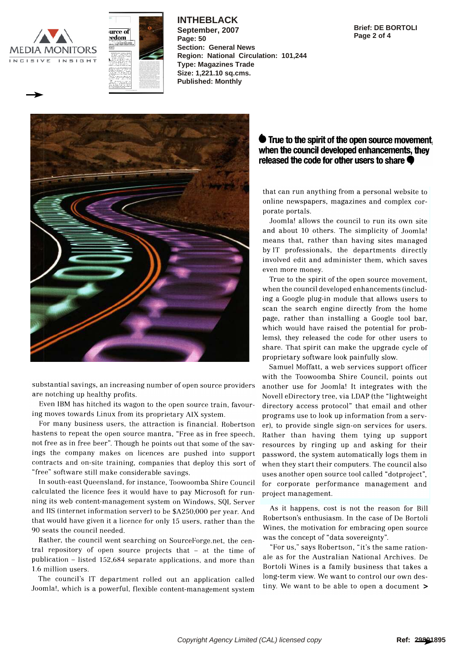



**INTHEBLACK September, 2007 Page: 50**

**Region: National Circulation: 101,244**

**Section: General News**

**Type: Magazines Trade Size: 1,221.10 sq.cms. Published: Monthly**

**Brief: DE BORTOLI Page 2 of 4**



substantial savings, an increasing number of open source providers are notching up healthy profits.

Even IBM has hitched its wagon to the open source train, favouring moves towards Linux from its proprietary AIX system.

For many business users, the attraction is financial. Robertson hastens to repeat the open source mantra, "Free as in free speech, not free as in free beer". Though he points out that some of the savings the company makes on licences are pushed into support contracts and on-site training, companies that deploy this sort of "free" software still make considerable savings.

In south-east Queensland, for instance, Toowoomba Shire Council calculated the licence fees it would have to pay Microsoft for running its web content-management system on Windows, SQL Server and IIS (internet information server) to be \$A250,000 per year. And that would have given it a licence for only 15 users, rather than the 90 seats the council needed.

Rather, the council went searching on SourceForge.net, the central repository of open source projects that - at the time of publication - listed 152,684 separate applications, and more than 1.6 million users.

The council's IT department rolled out an application called Joomla!, which is a powerful, flexible content-management system

# $\bullet$  True to the spirit of the open source movement, when the council developed enhancements, they released the code for other users to share

that can run anything from a personal website to online newspapers, magazines and complex corporate portals.

Joomla! allows the council to run its own site and about 10 others. The simplicity of Joomla! means that, rather than having sites managed by IT professionals, the departments directly involved edit and administer them, which saves even more money.

True to the spirit of the open source movement, when the council developed enhancements (including a Google plug-in module that allows users to scan the search engine directly from the home page, rather than installing a Google tool bar, which would have raised the potential for problems), they released the code for other users to share. That spirit can make the upgrade cycle of proprietary software look painfully slow.

Samuel Moffatt, a web services support officer with the Toowoomba Shire Council, points out another use for Joomla! It integrates with the Novell eDirectory tree, via LDAP (the "lightweight directory access protocol" that email and other programs use to look up information from a server), to provide single sign-on services for users. Rather than having them tying up support resources by ringing up and asking for their password, the system automatically logs them in when they start their computers. The council also uses another open source tool called "dotproject", for corporate performance management and project management.

As it happens, cost is not the reason for Bill Robertson's enthusiasm. In the case of De Bortoli Wines, the motivation for embracing open source was the concept of "data sovereignty".

"For us," says Robertson, "it's the same rationale as for the Australian National Archives. De Bortoli Wines is a family business that takes a long-term view. We want to control our own destiny. We want to be able to open a document >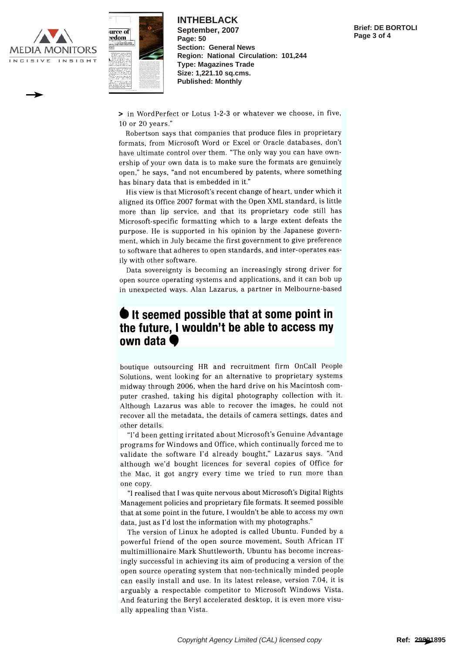



**INTHEBLACK September, 2007 Page: 50 Section: General News Region: National Circulation: 101,244 Type: Magazines Trade Size: 1,221.10 sq.cms. Published: Monthly**

> in WordPerfect or Lotus 1-2-3 or whatever we choose, in five, 10 or 20 years."

Robertson says that companies that produce files in proprietary formats, from Microsoft Word or Excel or Oracle databases, don't have ultimate control over them. "The only way you can have ownership of your own data is to make sure the formats are genuinely open," he says, "and not encumbered by patents, where something has binary data that is embedded in it."

His view is that Microsoft's recent change of heart, under which it aligned its Office 2007 format with the Open XML standard, is little more than lip service, and that its proprietary code still has Microsoft-specific formatting which to a large extent defeats the purpose. He is supported in his opinion by the Japanese government, which in July became the first government to give preference to software that adheres to open standards, and inter-operates easily with other software.

Data sovereignty is becoming an increasingly strong driver for open source operating systems and applications, and it can bob up in unexpected ways. Alan Lazarus, a partner in Melbourne-based

# $\bullet$  It seemed possible that at some point in the future, I wouldn't be able to access my own data  $\bullet$

boutique outsourcing HR and recruitment firm OnCall People Solutions, went looking for an alternative to proprietary systems midway through 2006, when the hard drive on his Macintosh computer crashed, taking his digital photography collection with it. Although Lazarus was able to recover the images, he could not recover all the metadata, the details of camera settings, dates and other details.

"I'd been getting irritated about Microsoft's Genuine Advantage programs for Windows and Office, which continually forced me to validate the software I'd already bought," Lazarus says. "And although we'd bought licences for several copies of Office for the Mac, it got angry every time we tried to run more than one copy.

"I realised that I was quite nervous about Microsoft's Digital Rights Management policies and proprietary file formats. It seemed possible that at some point in the future, I wouldn't be able to access my own data, just as I'd lost the information with my photographs."

The version of Linux he adopted is called Ubuntu. Funded by a powerful friend of the open source movement, South African IT multimillionaire Mark Shuttleworth, Ubuntu has become increasingly successful in achieving its aim of producing a version of the open source operating system that non-technically minded people can easily install and use. In its latest release, version 7.04, it is arguably a respectable competitor to Microsoft Windows Vista. And featuring the Beryl accelerated desktop, it is even more visually appealing than Vista.